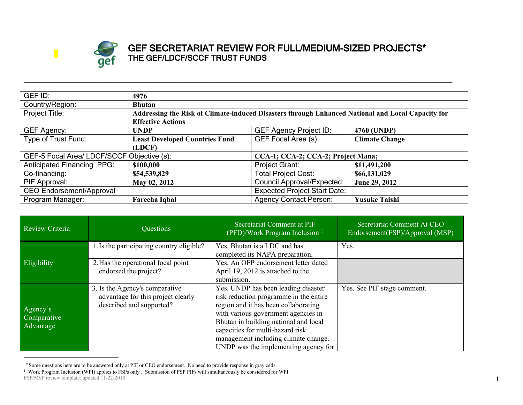

## **GEF SECRETARIAT REVIEW FOR FULL/MEDIUM-SIZED PROJECTS\* THE GEF/LDCF/SCCF TRUST FUNDS**

| GEF ID:                                    | 4976                                                                                              |                                     |                       |  |  |
|--------------------------------------------|---------------------------------------------------------------------------------------------------|-------------------------------------|-----------------------|--|--|
| Country/Region:                            | <b>Bhutan</b>                                                                                     |                                     |                       |  |  |
| Project Title:                             | Addressing the Risk of Climate-induced Disasters through Enhanced National and Local Capacity for |                                     |                       |  |  |
|                                            | <b>Effective Actions</b>                                                                          |                                     |                       |  |  |
| <b>GEF Agency:</b>                         | <b>UNDP</b>                                                                                       | <b>GEF Agency Project ID:</b>       | 4760 (UNDP)           |  |  |
| Type of Trust Fund:                        | <b>Least Developed Countries Fund</b>                                                             | GEF Focal Area (s):                 | <b>Climate Change</b> |  |  |
|                                            | (LDCF)                                                                                            |                                     |                       |  |  |
| GEF-5 Focal Area/ LDCF/SCCF Objective (s): |                                                                                                   | CCA-1; CCA-2; CCA-2; Project Mana;  |                       |  |  |
| <b>Anticipated Financing PPG:</b>          | \$100,000                                                                                         | Project Grant:                      | \$11,491,200          |  |  |
| Co-financing:                              | \$54,539,829                                                                                      | <b>Total Project Cost:</b>          | \$66,131,029          |  |  |
| PIF Approval:                              | May 02, 2012                                                                                      | <b>Council Approval/Expected:</b>   | June 29, 2012         |  |  |
| CEO Endorsement/Approval                   |                                                                                                   | <b>Expected Project Start Date:</b> |                       |  |  |
| Program Manager:                           | Fareeha Iqbal                                                                                     | <b>Agency Contact Person:</b>       | <b>Yusuke Taishi</b>  |  |  |

**\_\_\_\_\_\_\_\_\_\_\_\_\_\_\_\_\_\_\_\_\_\_\_\_\_\_\_\_\_\_\_\_\_\_\_\_\_\_\_\_\_\_\_\_\_\_\_\_\_\_\_\_\_\_\_\_\_\_\_\_\_\_\_\_\_\_\_\_\_\_\_\_\_\_\_\_\_\_\_\_\_\_\_\_\_\_\_\_\_\_\_\_\_\_\_\_\_\_\_\_\_\_\_\_\_\_\_\_\_\_\_\_\_\_\_\_\_\_**

| <b>Review Criteria</b>               | Questions                                                                                        | Secretariat Comment at PIF<br>(PFD)/Work Program Inclusion <sup>1</sup>                                                                                                                                                                                                                                                   | Secretariat Comment At CEO<br>Endorsement(FSP)/Approval (MSP) |
|--------------------------------------|--------------------------------------------------------------------------------------------------|---------------------------------------------------------------------------------------------------------------------------------------------------------------------------------------------------------------------------------------------------------------------------------------------------------------------------|---------------------------------------------------------------|
|                                      | 1. Is the participating country eligible?                                                        | Yes. Bhutan is a LDC and has<br>completed its NAPA preparation.                                                                                                                                                                                                                                                           | Yes.                                                          |
| Eligibility                          | 2. Has the operational focal point<br>endorsed the project?                                      | Yes. An OFP endorsement letter dated<br>April 19, 2012 is attached to the<br>submission.                                                                                                                                                                                                                                  |                                                               |
| Agency's<br>Comparative<br>Advantage | 3. Is the Agency's comparative<br>advantage for this project clearly<br>described and supported? | Yes. UNDP has been leading disaster<br>risk reduction programme in the entire<br>region and it has been collaborating<br>with various government agencies in<br>Bhutan in building national and local<br>capacities for multi-hazard risk<br>management including climate change.<br>UNDP was the implementing agency for | Yes. See PIF stage comment.                                   |

<sup>\*</sup>Some questions here are to be answered only at PIF or CEO endorsement. No need to provide response in gray cells.

FSP/MSP review template: updated 11-22-2010 <sup>1</sup> Work Program Inclusion (WPI) applies to FSPs only . Submission of FSP PIFs will simultaneously be considered for WPI.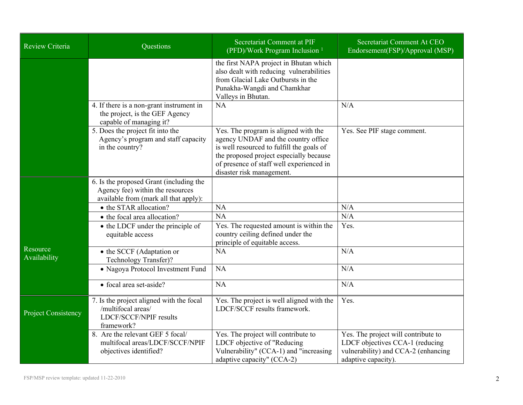| Review Criteria            | Questions                                                                                                            | Secretariat Comment at PIF<br>(PFD)/Work Program Inclusion <sup>1</sup>                                                                                                                                                                      | <b>Secretariat Comment At CEO</b><br>Endorsement(FSP)/Approval (MSP)                                                                 |
|----------------------------|----------------------------------------------------------------------------------------------------------------------|----------------------------------------------------------------------------------------------------------------------------------------------------------------------------------------------------------------------------------------------|--------------------------------------------------------------------------------------------------------------------------------------|
|                            |                                                                                                                      | the first NAPA project in Bhutan which<br>also dealt with reducing vulnerabilities<br>from Glacial Lake Outbursts in the<br>Punakha-Wangdi and Chamkhar<br>Valleys in Bhutan.                                                                |                                                                                                                                      |
|                            | 4. If there is a non-grant instrument in<br>the project, is the GEF Agency<br>capable of managing it?                | <b>NA</b>                                                                                                                                                                                                                                    | N/A                                                                                                                                  |
|                            | 5. Does the project fit into the<br>Agency's program and staff capacity<br>in the country?                           | Yes. The program is aligned with the<br>agency UNDAF and the country office<br>is well resourced to fulfill the goals of<br>the proposed project especially because<br>of presence of staff well experienced in<br>disaster risk management. | Yes. See PIF stage comment.                                                                                                          |
|                            | 6. Is the proposed Grant (including the<br>Agency fee) within the resources<br>available from (mark all that apply): |                                                                                                                                                                                                                                              |                                                                                                                                      |
|                            | • the STAR allocation?                                                                                               | <b>NA</b>                                                                                                                                                                                                                                    | N/A                                                                                                                                  |
|                            | • the focal area allocation?                                                                                         | <b>NA</b>                                                                                                                                                                                                                                    | N/A                                                                                                                                  |
|                            | • the LDCF under the principle of<br>equitable access                                                                | Yes. The requested amount is within the<br>country ceiling defined under the<br>principle of equitable access.                                                                                                                               | Yes.                                                                                                                                 |
| Resource<br>Availability   | • the SCCF (Adaptation or<br>Technology Transfer)?                                                                   | NA                                                                                                                                                                                                                                           | N/A                                                                                                                                  |
|                            | • Nagoya Protocol Investment Fund                                                                                    | NA                                                                                                                                                                                                                                           | N/A                                                                                                                                  |
|                            | • focal area set-aside?                                                                                              | <b>NA</b>                                                                                                                                                                                                                                    | N/A                                                                                                                                  |
| <b>Project Consistency</b> | 7. Is the project aligned with the focal<br>/multifocal areas/<br>LDCF/SCCF/NPIF results<br>framework?               | Yes. The project is well aligned with the<br>LDCF/SCCF results framework.                                                                                                                                                                    | Yes.                                                                                                                                 |
|                            | 8. Are the relevant GEF 5 focal/<br>multifocal areas/LDCF/SCCF/NPIF<br>objectives identified?                        | Yes. The project will contribute to<br>LDCF objective of "Reducing<br>Vulnerability" (CCA-1) and "increasing<br>adaptive capacity" (CCA-2)                                                                                                   | Yes. The project will contribute to<br>LDCF objectives CCA-1 (reducing<br>vulnerability) and CCA-2 (enhancing<br>adaptive capacity). |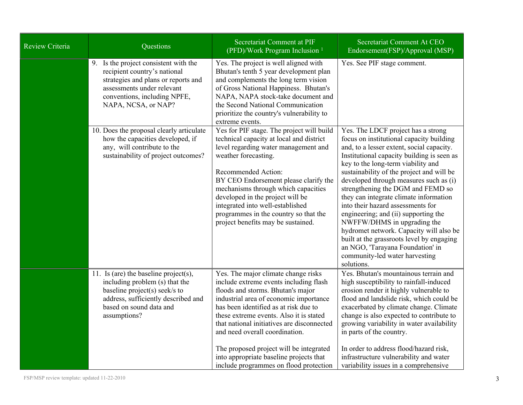| Review Criteria | Questions                                                                                                                                                                                         | Secretariat Comment at PIF<br>(PFD)/Work Program Inclusion <sup>1</sup>                                                                                                                                                                                                                                                                                                                                                                                          | Secretariat Comment At CEO<br>Endorsement(FSP)/Approval (MSP)                                                                                                                                                                                                                                                                                                                                                                                                                                                                                                                                                                                                                 |
|-----------------|---------------------------------------------------------------------------------------------------------------------------------------------------------------------------------------------------|------------------------------------------------------------------------------------------------------------------------------------------------------------------------------------------------------------------------------------------------------------------------------------------------------------------------------------------------------------------------------------------------------------------------------------------------------------------|-------------------------------------------------------------------------------------------------------------------------------------------------------------------------------------------------------------------------------------------------------------------------------------------------------------------------------------------------------------------------------------------------------------------------------------------------------------------------------------------------------------------------------------------------------------------------------------------------------------------------------------------------------------------------------|
|                 | 9. Is the project consistent with the<br>recipient country's national<br>strategies and plans or reports and<br>assessments under relevant<br>conventions, including NPFE,<br>NAPA, NCSA, or NAP? | Yes. The project is well aligned with<br>Bhutan's tenth 5 year development plan<br>and complements the long term vision<br>of Gross National Happiness. Bhutan's<br>NAPA, NAPA stock-take document and<br>the Second National Communication<br>prioritize the country's vulnerability to<br>extreme events.                                                                                                                                                      | Yes. See PIF stage comment.                                                                                                                                                                                                                                                                                                                                                                                                                                                                                                                                                                                                                                                   |
|                 | 10. Does the proposal clearly articulate<br>how the capacities developed, if<br>any, will contribute to the<br>sustainability of project outcomes?                                                | Yes for PIF stage. The project will build<br>technical capacity at local and district<br>level regarding water management and<br>weather forecasting.<br>Recommended Action:<br>BY CEO Endorsement please clarify the<br>mechanisms through which capacities<br>developed in the project will be<br>integrated into well-established<br>programmes in the country so that the<br>project benefits may be sustained.                                              | Yes. The LDCF project has a strong<br>focus on institutional capacity building<br>and, to a lesser extent, social capacity.<br>Institutional capacity building is seen as<br>key to the long-term viability and<br>sustainability of the project and will be<br>developed through measures such as (i)<br>strengthening the DGM and FEMD so<br>they can integrate climate information<br>into their hazard assessments for<br>engineering; and (ii) supporting the<br>NWFFW/DHMS in upgrading the<br>hydromet network. Capacity will also be<br>built at the grassroots level by engaging<br>an NGO, 'Tarayana Foundation' in<br>community-led water harvesting<br>solutions. |
|                 | 11. Is (are) the baseline project(s),<br>including problem (s) that the<br>baseline project(s) seek/s to<br>address, sufficiently described and<br>based on sound data and<br>assumptions?        | Yes. The major climate change risks<br>include extreme events including flash<br>floods and storms. Bhutan's major<br>industrial area of economic importance<br>has been identified as at risk due to<br>these extreme events. Also it is stated<br>that national initiatives are disconnected<br>and need overall coordination.<br>The proposed project will be integrated<br>into appropriate baseline projects that<br>include programmes on flood protection | Yes. Bhutan's mountainous terrain and<br>high susceptibility to rainfall-induced<br>erosion render it highly vulnerable to<br>flood and landslide risk, which could be<br>exacerbated by climate change. Climate<br>change is also expected to contribute to<br>growing variability in water availability<br>in parts of the country.<br>In order to address flood/hazard risk,<br>infrastructure vulnerability and water<br>variability issues in a comprehensive                                                                                                                                                                                                            |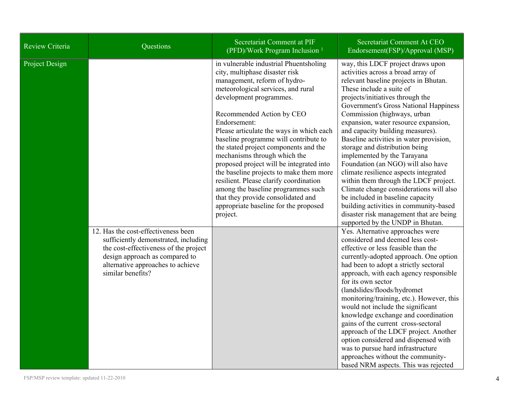| Review Criteria | Questions                                                                                                                                                                                                        | Secretariat Comment at PIF<br>(PFD)/Work Program Inclusion <sup>1</sup>                                                                                                                                                                                                                                                                                                                                                                                                                                                                                                                                                                                | Secretariat Comment At CEO<br>Endorsement(FSP)/Approval (MSP)                                                                                                                                                                                                                                                                                                                                                                                                                                                                                                                                                                                                                                                                                                                                                                                                                                                                                                                                                                                                                                                                                                                                                                                                                                                                                                                                                                                        |
|-----------------|------------------------------------------------------------------------------------------------------------------------------------------------------------------------------------------------------------------|--------------------------------------------------------------------------------------------------------------------------------------------------------------------------------------------------------------------------------------------------------------------------------------------------------------------------------------------------------------------------------------------------------------------------------------------------------------------------------------------------------------------------------------------------------------------------------------------------------------------------------------------------------|------------------------------------------------------------------------------------------------------------------------------------------------------------------------------------------------------------------------------------------------------------------------------------------------------------------------------------------------------------------------------------------------------------------------------------------------------------------------------------------------------------------------------------------------------------------------------------------------------------------------------------------------------------------------------------------------------------------------------------------------------------------------------------------------------------------------------------------------------------------------------------------------------------------------------------------------------------------------------------------------------------------------------------------------------------------------------------------------------------------------------------------------------------------------------------------------------------------------------------------------------------------------------------------------------------------------------------------------------------------------------------------------------------------------------------------------------|
| Project Design  | 12. Has the cost-effectiveness been<br>sufficiently demonstrated, including<br>the cost-effectiveness of the project<br>design approach as compared to<br>alternative approaches to achieve<br>similar benefits? | in vulnerable industrial Phuentsholing<br>city, multiphase disaster risk<br>management, reform of hydro-<br>meteorological services, and rural<br>development programmes.<br>Recommended Action by CEO<br>Endorsement:<br>Please articulate the ways in which each<br>baseline programme will contribute to<br>the stated project components and the<br>mechanisms through which the<br>proposed project will be integrated into<br>the baseline projects to make them more<br>resilient. Please clarify coordination<br>among the baseline programmes such<br>that they provide consolidated and<br>appropriate baseline for the proposed<br>project. | way, this LDCF project draws upon<br>activities across a broad array of<br>relevant baseline projects in Bhutan.<br>These include a suite of<br>projects/initiatives through the<br>Government's Gross National Happiness<br>Commission (highways, urban<br>expansion, water resource expansion,<br>and capacity building measures).<br>Baseline activities in water provision,<br>storage and distribution being<br>implemented by the Tarayana<br>Foundation (an NGO) will also have<br>climate resilience aspects integrated<br>within them through the LDCF project.<br>Climate change considerations will also<br>be included in baseline capacity<br>building activities in community-based<br>disaster risk management that are being<br>supported by the UNDP in Bhutan.<br>Yes. Alternative approaches were<br>considered and deemed less cost-<br>effective or less feasible than the<br>currently-adopted approach. One option<br>had been to adopt a strictly sectoral<br>approach, with each agency responsible<br>for its own sector<br>(landslides/floods/hydromet<br>monitoring/training, etc.). However, this<br>would not include the significant<br>knowledge exchange and coordination<br>gains of the current cross-sectoral<br>approach of the LDCF project. Another<br>option considered and dispensed with<br>was to pursue hard infrastructure<br>approaches without the community-<br>based NRM aspects. This was rejected |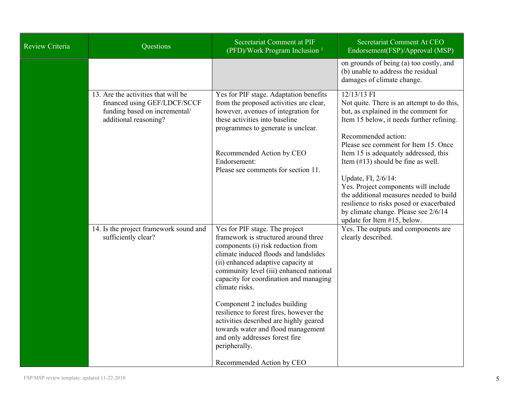| Review Criteria | Questions                                                                                                                     | Secretariat Comment at PIF<br>(PFD)/Work Program Inclusion <sup>1</sup>                                                                                                                                                                                                                                                                                                                                                                                                                                                                        | Secretariat Comment At CEO<br>Endorsement(FSP)/Approval (MSP)                                                                                                                                                                                                                                                                                                                                                                                                                                                                |
|-----------------|-------------------------------------------------------------------------------------------------------------------------------|------------------------------------------------------------------------------------------------------------------------------------------------------------------------------------------------------------------------------------------------------------------------------------------------------------------------------------------------------------------------------------------------------------------------------------------------------------------------------------------------------------------------------------------------|------------------------------------------------------------------------------------------------------------------------------------------------------------------------------------------------------------------------------------------------------------------------------------------------------------------------------------------------------------------------------------------------------------------------------------------------------------------------------------------------------------------------------|
|                 |                                                                                                                               |                                                                                                                                                                                                                                                                                                                                                                                                                                                                                                                                                | on grounds of being (a) too costly, and<br>(b) unable to address the residual<br>damages of climate change.                                                                                                                                                                                                                                                                                                                                                                                                                  |
|                 | 13. Are the activities that will be<br>financed using GEF/LDCF/SCCF<br>funding based on incremental/<br>additional reasoning? | Yes for PIF stage. Adaptation benefits<br>from the proposed activities are clear,<br>however, avenues of integration for<br>these activities into baseline<br>programmes to generate is unclear.<br>Recommended Action by CEO<br>Endorsement:<br>Please see comments for section 11.                                                                                                                                                                                                                                                           | 12/13/13 FI<br>Not quite. There is an attempt to do this,<br>but, as explained in the comment for<br>Item 15 below, it needs further refining.<br>Recommended action:<br>Please see comment for Item 15. Once<br>Item 15 is adequately addressed, this<br>Item $(\#13)$ should be fine as well.<br>Update, FI, 2/6/14:<br>Yes. Project components will include<br>the additional measures needed to build<br>resilience to risks posed or exacerbated<br>by climate change. Please see 2/6/14<br>update for Item #15, below. |
|                 | 14. Is the project framework sound and<br>sufficiently clear?                                                                 | Yes for PIF stage. The project<br>framework is structured around three<br>components (i) risk reduction from<br>climate induced floods and landslides<br>(ii) enhanced adaptive capacity at<br>community level (iii) enhanced national<br>capacity for coordination and managing<br>climate risks.<br>Component 2 includes building<br>resilience to forest fires, however the<br>activities described are highly geared<br>towards water and flood management<br>and only addresses forest fire<br>peripherally.<br>Recommended Action by CEO | Yes. The outputs and components are<br>clearly described.                                                                                                                                                                                                                                                                                                                                                                                                                                                                    |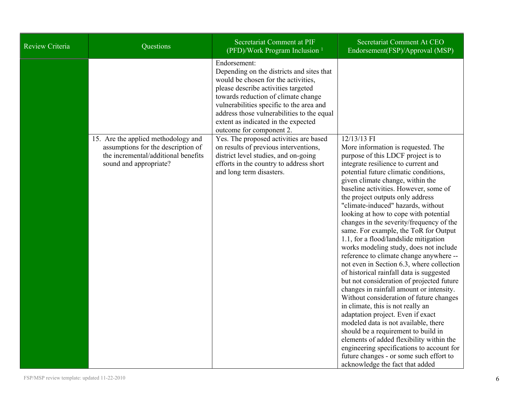| Review Criteria | Questions                                                                                                                                  | Secretariat Comment at PIF<br>(PFD)/Work Program Inclusion <sup>1</sup>                                                                                                                                                                                                                                                                                                                                                                                                                                                                       | Secretariat Comment At CEO<br>Endorsement(FSP)/Approval (MSP)                                                                                                                                                                                                                                                                                                                                                                                                                                                                                                                                                                                                                                                                    |
|-----------------|--------------------------------------------------------------------------------------------------------------------------------------------|-----------------------------------------------------------------------------------------------------------------------------------------------------------------------------------------------------------------------------------------------------------------------------------------------------------------------------------------------------------------------------------------------------------------------------------------------------------------------------------------------------------------------------------------------|----------------------------------------------------------------------------------------------------------------------------------------------------------------------------------------------------------------------------------------------------------------------------------------------------------------------------------------------------------------------------------------------------------------------------------------------------------------------------------------------------------------------------------------------------------------------------------------------------------------------------------------------------------------------------------------------------------------------------------|
|                 | 15. Are the applied methodology and<br>assumptions for the description of<br>the incremental/additional benefits<br>sound and appropriate? | Endorsement:<br>Depending on the districts and sites that<br>would be chosen for the activities,<br>please describe activities targeted<br>towards reduction of climate change<br>vulnerabilities specific to the area and<br>address those vulnerabilities to the equal<br>extent as indicated in the expected<br>outcome for component 2.<br>Yes. The proposed activities are based<br>on results of previous interventions,<br>district level studies, and on-going<br>efforts in the country to address short<br>and long term disasters. | 12/13/13 FI<br>More information is requested. The<br>purpose of this LDCF project is to<br>integrate resilience to current and<br>potential future climatic conditions,<br>given climate change, within the<br>baseline activities. However, some of<br>the project outputs only address<br>"climate-induced" hazards, without<br>looking at how to cope with potential<br>changes in the severity/frequency of the<br>same. For example, the ToR for Output<br>1.1, for a flood/landslide mitigation<br>works modeling study, does not include<br>reference to climate change anywhere --<br>not even in Section 6.3, where collection<br>of historical rainfall data is suggested<br>but not consideration of projected future |
|                 |                                                                                                                                            |                                                                                                                                                                                                                                                                                                                                                                                                                                                                                                                                               | changes in rainfall amount or intensity.<br>Without consideration of future changes<br>in climate, this is not really an                                                                                                                                                                                                                                                                                                                                                                                                                                                                                                                                                                                                         |
|                 |                                                                                                                                            |                                                                                                                                                                                                                                                                                                                                                                                                                                                                                                                                               | adaptation project. Even if exact<br>modeled data is not available, there<br>should be a requirement to build in<br>elements of added flexibility within the                                                                                                                                                                                                                                                                                                                                                                                                                                                                                                                                                                     |
|                 |                                                                                                                                            |                                                                                                                                                                                                                                                                                                                                                                                                                                                                                                                                               | engineering specifications to account for<br>future changes - or some such effort to<br>acknowledge the fact that added                                                                                                                                                                                                                                                                                                                                                                                                                                                                                                                                                                                                          |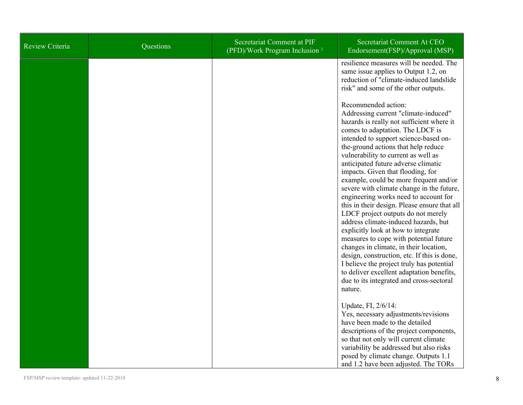| Review Criteria | Questions | Secretariat Comment at PIF<br>(PFD)/Work Program Inclusion <sup>1</sup> | Secretariat Comment At CEO<br>Endorsement(FSP)/Approval (MSP)                                                                                                                                                                                                                                                                                                                                                                                                                                                                                                                                                                                                                                                                                                                                                                                                                                                                            |
|-----------------|-----------|-------------------------------------------------------------------------|------------------------------------------------------------------------------------------------------------------------------------------------------------------------------------------------------------------------------------------------------------------------------------------------------------------------------------------------------------------------------------------------------------------------------------------------------------------------------------------------------------------------------------------------------------------------------------------------------------------------------------------------------------------------------------------------------------------------------------------------------------------------------------------------------------------------------------------------------------------------------------------------------------------------------------------|
|                 |           |                                                                         | resilience measures will be needed. The<br>same issue applies to Output 1.2, on<br>reduction of "climate-induced landslide"<br>risk" and some of the other outputs.                                                                                                                                                                                                                                                                                                                                                                                                                                                                                                                                                                                                                                                                                                                                                                      |
|                 |           |                                                                         | Recommended action:<br>Addressing current "climate-induced"<br>hazards is really not sufficient where it<br>comes to adaptation. The LDCF is<br>intended to support science-based on-<br>the-ground actions that help reduce<br>vulnerability to current as well as<br>anticipated future adverse climatic<br>impacts. Given that flooding, for<br>example, could be more frequent and/or<br>severe with climate change in the future,<br>engineering works need to account for<br>this in their design. Please ensure that all<br>LDCF project outputs do not merely<br>address climate-induced hazards, but<br>explicitly look at how to integrate<br>measures to cope with potential future<br>changes in climate, in their location,<br>design, construction, etc. If this is done,<br>I believe the project truly has potential<br>to deliver excellent adaptation benefits,<br>due to its integrated and cross-sectoral<br>nature. |
|                 |           |                                                                         | Update, FI, 2/6/14:<br>Yes, necessary adjustments/revisions<br>have been made to the detailed<br>descriptions of the project components,                                                                                                                                                                                                                                                                                                                                                                                                                                                                                                                                                                                                                                                                                                                                                                                                 |
|                 |           |                                                                         | so that not only will current climate<br>variability be addressed but also risks<br>posed by climate change. Outputs 1.1<br>and 1.2 have been adjusted. The TORs                                                                                                                                                                                                                                                                                                                                                                                                                                                                                                                                                                                                                                                                                                                                                                         |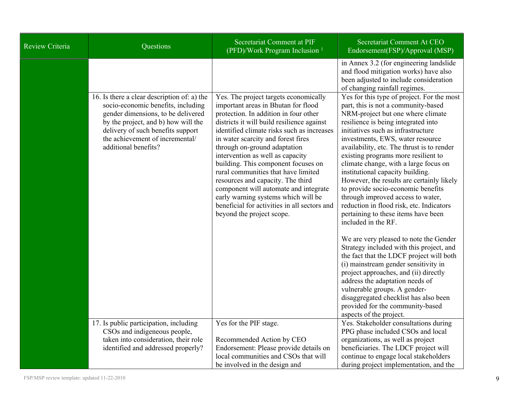| <b>Review Criteria</b> | Questions                                                                                                                                                                                                                                                      | Secretariat Comment at PIF<br>(PFD)/Work Program Inclusion <sup>1</sup>                                                                                                                                                                                                                                                                                                                                                                                                                                                                                                                                     | Secretariat Comment At CEO<br>Endorsement(FSP)/Approval (MSP)                                                                                                                                                                                                                                                                                                                                                                                                                                                                                                                                                                                                                                                                                                                                              |
|------------------------|----------------------------------------------------------------------------------------------------------------------------------------------------------------------------------------------------------------------------------------------------------------|-------------------------------------------------------------------------------------------------------------------------------------------------------------------------------------------------------------------------------------------------------------------------------------------------------------------------------------------------------------------------------------------------------------------------------------------------------------------------------------------------------------------------------------------------------------------------------------------------------------|------------------------------------------------------------------------------------------------------------------------------------------------------------------------------------------------------------------------------------------------------------------------------------------------------------------------------------------------------------------------------------------------------------------------------------------------------------------------------------------------------------------------------------------------------------------------------------------------------------------------------------------------------------------------------------------------------------------------------------------------------------------------------------------------------------|
|                        | 16. Is there a clear description of: a) the<br>socio-economic benefits, including<br>gender dimensions, to be delivered<br>by the project, and b) how will the<br>delivery of such benefits support<br>the achievement of incremental/<br>additional benefits? | Yes. The project targets economically<br>important areas in Bhutan for flood<br>protection. In addition in four other<br>districts it will build resilience against<br>identified climate risks such as increases<br>in water scarcity and forest fires<br>through on-ground adaptation<br>intervention as well as capacity<br>building. This component focuses on<br>rural communities that have limited<br>resources and capacity. The third<br>component will automate and integrate<br>early warning systems which will be<br>beneficial for activities in all sectors and<br>beyond the project scope. | in Annex 3.2 (for engineering landslide<br>and flood mitigation works) have also<br>been adjusted to include consideration<br>of changing rainfall regimes.<br>Yes for this type of project. For the most<br>part, this is not a community-based<br>NRM-project but one where climate<br>resilience is being integrated into<br>initiatives such as infrastructure<br>investments, EWS, water resource<br>availability, etc. The thrust is to render<br>existing programs more resilient to<br>climate change, with a large focus on<br>institutional capacity building.<br>However, the results are certainly likely<br>to provide socio-economic benefits<br>through improved access to water,<br>reduction in flood risk, etc. Indicators<br>pertaining to these items have been<br>included in the RF. |
|                        |                                                                                                                                                                                                                                                                |                                                                                                                                                                                                                                                                                                                                                                                                                                                                                                                                                                                                             | We are very pleased to note the Gender<br>Strategy included with this project, and<br>the fact that the LDCF project will both<br>(i) mainstream gender sensitivity in<br>project approaches, and (ii) directly<br>address the adaptation needs of<br>vulnerable groups. A gender-<br>disaggregated checklist has also been<br>provided for the community-based<br>aspects of the project.                                                                                                                                                                                                                                                                                                                                                                                                                 |
|                        | 17. Is public participation, including<br>CSOs and indigeneous people,<br>taken into consideration, their role<br>identified and addressed properly?                                                                                                           | Yes for the PIF stage.<br>Recommended Action by CEO<br>Endorsement: Please provide details on<br>local communities and CSOs that will<br>be involved in the design and                                                                                                                                                                                                                                                                                                                                                                                                                                      | Yes. Stakeholder consultations during<br>PPG phase included CSOs and local<br>organizations, as well as project<br>beneficiaries. The LDCF project will<br>continue to engage local stakeholders<br>during project implementation, and the                                                                                                                                                                                                                                                                                                                                                                                                                                                                                                                                                                 |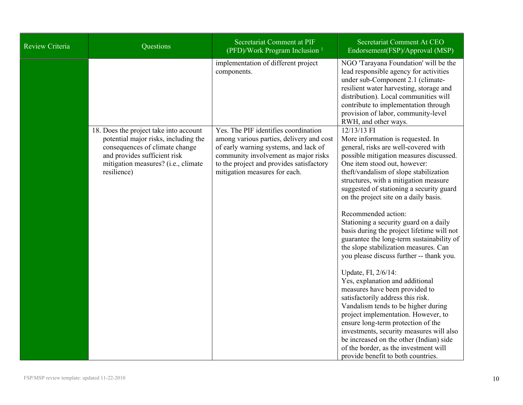| Review Criteria | Questions                                                                                                                                                                                              | Secretariat Comment at PIF<br>(PFD)/Work Program Inclusion <sup>1</sup>                                                                                                                                                                        | Secretariat Comment At CEO<br>Endorsement(FSP)/Approval (MSP)                                                                                                                                                                                                                                                                                                                                                                                                                                                                                                                                                                                                                                                                                                                                                                                     |
|-----------------|--------------------------------------------------------------------------------------------------------------------------------------------------------------------------------------------------------|------------------------------------------------------------------------------------------------------------------------------------------------------------------------------------------------------------------------------------------------|---------------------------------------------------------------------------------------------------------------------------------------------------------------------------------------------------------------------------------------------------------------------------------------------------------------------------------------------------------------------------------------------------------------------------------------------------------------------------------------------------------------------------------------------------------------------------------------------------------------------------------------------------------------------------------------------------------------------------------------------------------------------------------------------------------------------------------------------------|
|                 |                                                                                                                                                                                                        | implementation of different project<br>components.                                                                                                                                                                                             | NGO 'Tarayana Foundation' will be the<br>lead responsible agency for activities<br>under sub-Component 2.1 (climate-<br>resilient water harvesting, storage and<br>distribution). Local communities will<br>contribute to implementation through<br>provision of labor, community-level<br>RWH, and other ways.                                                                                                                                                                                                                                                                                                                                                                                                                                                                                                                                   |
|                 | 18. Does the project take into account<br>potential major risks, including the<br>consequences of climate change<br>and provides sufficient risk<br>mitigation measures? (i.e., climate<br>resilience) | Yes. The PIF identifies coordination<br>among various parties, delivery and cost<br>of early warning systems, and lack of<br>community involvement as major risks<br>to the project and provides satisfactory<br>mitigation measures for each. | 12/13/13 FI<br>More information is requested. In<br>general, risks are well-covered with<br>possible mitigation measures discussed.<br>One item stood out, however:<br>theft/vandalism of slope stabilization<br>structures, with a mitigation measure<br>suggested of stationing a security guard<br>on the project site on a daily basis.<br>Recommended action:<br>Stationing a security guard on a daily<br>basis during the project lifetime will not<br>guarantee the long-term sustainability of<br>the slope stabilization measures. Can<br>you please discuss further -- thank you.<br>Update, FI, 2/6/14:<br>Yes, explanation and additional<br>measures have been provided to<br>satisfactorily address this risk.<br>Vandalism tends to be higher during<br>project implementation. However, to<br>ensure long-term protection of the |
|                 |                                                                                                                                                                                                        |                                                                                                                                                                                                                                                | investments, security measures will also<br>be increased on the other (Indian) side<br>of the border, as the investment will<br>provide benefit to both countries.                                                                                                                                                                                                                                                                                                                                                                                                                                                                                                                                                                                                                                                                                |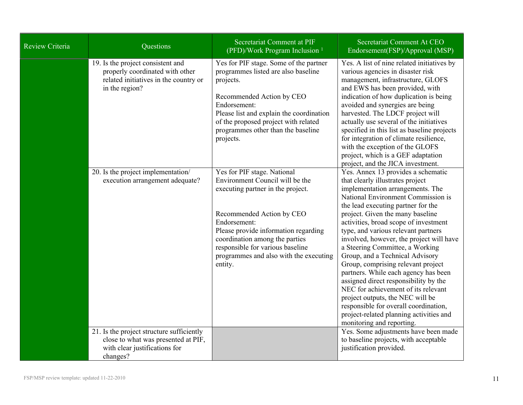| Review Criteria | Questions                                                                                                                       | Secretariat Comment at PIF<br>(PFD)/Work Program Inclusion <sup>1</sup>                                                                                                                                                                                                                                             | Secretariat Comment At CEO<br>Endorsement(FSP)/Approval (MSP)                                                                                                                                                                                                                                                                                                                                                                                                                                                                                                                                                                                                                                                                                   |
|-----------------|---------------------------------------------------------------------------------------------------------------------------------|---------------------------------------------------------------------------------------------------------------------------------------------------------------------------------------------------------------------------------------------------------------------------------------------------------------------|-------------------------------------------------------------------------------------------------------------------------------------------------------------------------------------------------------------------------------------------------------------------------------------------------------------------------------------------------------------------------------------------------------------------------------------------------------------------------------------------------------------------------------------------------------------------------------------------------------------------------------------------------------------------------------------------------------------------------------------------------|
|                 | 19. Is the project consistent and<br>properly coordinated with other<br>related initiatives in the country or<br>in the region? | Yes for PIF stage. Some of the partner<br>programmes listed are also baseline<br>projects.<br>Recommended Action by CEO<br>Endorsement:<br>Please list and explain the coordination<br>of the proposed project with related<br>programmes other than the baseline<br>projects.                                      | Yes. A list of nine related initiatives by<br>various agencies in disaster risk<br>management, infrastructure, GLOFS<br>and EWS has been provided, with<br>indication of how duplication is being<br>avoided and synergies are being<br>harvested. The LDCF project will<br>actually use several of the initiatives<br>specified in this list as baseline projects<br>for integration of climate resilience,<br>with the exception of the GLOFS<br>project, which is a GEF adaptation<br>project, and the JICA investment.                                                                                                                                                                                                                      |
|                 | 20. Is the project implementation/<br>execution arrangement adequate?                                                           | Yes for PIF stage. National<br>Environment Council will be the<br>executing partner in the project.<br>Recommended Action by CEO<br>Endorsement:<br>Please provide information regarding<br>coordination among the parties<br>responsible for various baseline<br>programmes and also with the executing<br>entity. | Yes. Annex 13 provides a schematic<br>that clearly illustrates project<br>implementation arrangements. The<br>National Environment Commission is<br>the lead executing partner for the<br>project. Given the many baseline<br>activities, broad scope of investment<br>type, and various relevant partners<br>involved, however, the project will have<br>a Steering Committee, a Working<br>Group, and a Technical Advisory<br>Group, comprising relevant project<br>partners. While each agency has been<br>assigned direct responsibility by the<br>NEC for achievement of its relevant<br>project outputs, the NEC will be<br>responsible for overall coordination,<br>project-related planning activities and<br>monitoring and reporting. |
|                 | 21. Is the project structure sufficiently<br>close to what was presented at PIF,<br>with clear justifications for<br>changes?   |                                                                                                                                                                                                                                                                                                                     | Yes. Some adjustments have been made<br>to baseline projects, with acceptable<br>justification provided.                                                                                                                                                                                                                                                                                                                                                                                                                                                                                                                                                                                                                                        |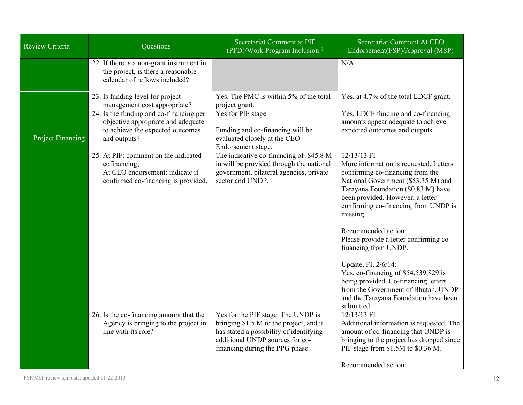| Review Criteria          | Questions                                                                                                                                                                                             | Secretariat Comment at PIF<br>(PFD)/Work Program Inclusion <sup>1</sup>                                                                                                                        | Secretariat Comment At CEO<br>Endorsement(FSP)/Approval (MSP)                                                                                                                                                                                                                                                                                                                                                           |
|--------------------------|-------------------------------------------------------------------------------------------------------------------------------------------------------------------------------------------------------|------------------------------------------------------------------------------------------------------------------------------------------------------------------------------------------------|-------------------------------------------------------------------------------------------------------------------------------------------------------------------------------------------------------------------------------------------------------------------------------------------------------------------------------------------------------------------------------------------------------------------------|
|                          | 22. If there is a non-grant instrument in<br>the project, is there a reasonable<br>calendar of reflows included?                                                                                      |                                                                                                                                                                                                | N/A                                                                                                                                                                                                                                                                                                                                                                                                                     |
| <b>Project Financing</b> | 23. Is funding level for project<br>management cost appropriate?<br>24. Is the funding and co-financing per<br>objective appropriate and adequate<br>to achieve the expected outcomes<br>and outputs? | Yes. The PMC is within 5% of the total<br>project grant.<br>Yes for PIF stage.<br>Funding and co-financing will be<br>evaluated closely at the CEO<br>Endorsement stage.                       | Yes, at 4.7% of the total LDCF grant.<br>Yes. LDCF funding and co-financing<br>amounts appear adequate to achieve<br>expected outcomes and outputs.                                                                                                                                                                                                                                                                     |
|                          | 25. At PIF: comment on the indicated<br>cofinancing;<br>At CEO endorsement: indicate if<br>confirmed co-financing is provided.                                                                        | The indicative co-financing of \$45.8 M<br>in will be provided through the national<br>government, bilateral agencies, private<br>sector and UNDP.                                             | 12/13/13 FI<br>More information is requested. Letters<br>confirming co-financing from the<br>National Government (\$53.35 M) and<br>Tarayana Foundation (\$0.83 M) have<br>been provided. However, a letter<br>confirming co-financing from UNDP is<br>missing.<br>Recommended action:<br>Please provide a letter confirming co-<br>financing from UNDP.<br>Update, FI, 2/6/14:<br>Yes, co-financing of \$54,539,829 is |
|                          |                                                                                                                                                                                                       |                                                                                                                                                                                                | being provided. Co-financing letters<br>from the Government of Bhutan, UNDP<br>and the Tarayana Foundation have been<br>submitted.                                                                                                                                                                                                                                                                                      |
|                          | 26. Is the co-financing amount that the<br>Agency is bringing to the project in<br>line with its role?                                                                                                | Yes for the PIF stage. The UNDP is<br>bringing \$1.5 M to the project, and it<br>has stated a possibility of identifying<br>additional UNDP sources for co-<br>financing during the PPG phase. | $12/13/13$ FI<br>Additional information is requested. The<br>amount of co-financing that UNDP is<br>bringing to the project has dropped since<br>PIF stage from \$1.5M to \$0.36 M.                                                                                                                                                                                                                                     |
|                          |                                                                                                                                                                                                       |                                                                                                                                                                                                | Recommended action:                                                                                                                                                                                                                                                                                                                                                                                                     |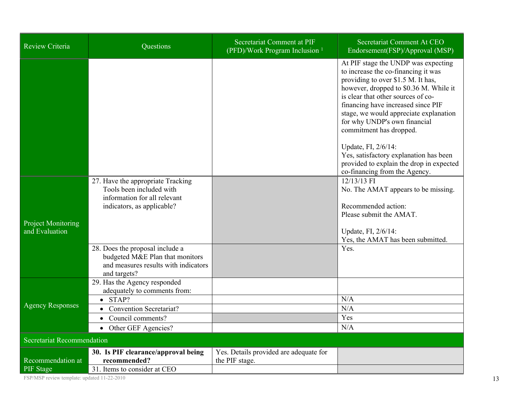| <b>Review Criteria</b>                      | Questions                                                                                                                                                                                                                                                 | Secretariat Comment at PIF<br>(PFD)/Work Program Inclusion <sup>1</sup> | Secretariat Comment At CEO<br>Endorsement(FSP)/Approval (MSP)                                                                                                                                                                                                                                                                                                                                                                                                                             |  |  |
|---------------------------------------------|-----------------------------------------------------------------------------------------------------------------------------------------------------------------------------------------------------------------------------------------------------------|-------------------------------------------------------------------------|-------------------------------------------------------------------------------------------------------------------------------------------------------------------------------------------------------------------------------------------------------------------------------------------------------------------------------------------------------------------------------------------------------------------------------------------------------------------------------------------|--|--|
|                                             |                                                                                                                                                                                                                                                           |                                                                         | At PIF stage the UNDP was expecting<br>to increase the co-financing it was<br>providing to over \$1.5 M. It has,<br>however, dropped to \$0.36 M. While it<br>is clear that other sources of co-<br>financing have increased since PIF<br>stage, we would appreciate explanation<br>for why UNDP's own financial<br>commitment has dropped.<br>Update, FI, 2/6/14:<br>Yes, satisfactory explanation has been<br>provided to explain the drop in expected<br>co-financing from the Agency. |  |  |
| <b>Project Monitoring</b><br>and Evaluation | 27. Have the appropriate Tracking<br>Tools been included with<br>information for all relevant<br>indicators, as applicable?<br>28. Does the proposal include a<br>budgeted M&E Plan that monitors<br>and measures results with indicators<br>and targets? |                                                                         | 12/13/13 FI<br>No. The AMAT appears to be missing.<br>Recommended action:<br>Please submit the AMAT.<br>Update, FI, 2/6/14:<br>Yes, the AMAT has been submitted.<br>Yes.                                                                                                                                                                                                                                                                                                                  |  |  |
| <b>Agency Responses</b>                     | 29. Has the Agency responded<br>adequately to comments from:<br>$\bullet$ STAP?<br><b>Convention Secretariat?</b><br>Council comments?<br>$\bullet$<br>• Other GEF Agencies?                                                                              |                                                                         | N/A<br>N/A<br>Yes<br>N/A                                                                                                                                                                                                                                                                                                                                                                                                                                                                  |  |  |
| <b>Secretariat Recommendation</b>           |                                                                                                                                                                                                                                                           |                                                                         |                                                                                                                                                                                                                                                                                                                                                                                                                                                                                           |  |  |
| Recommendation at<br><b>PIF</b> Stage       | 30. Is PIF clearance/approval being<br>recommended?<br>31. Items to consider at CEO                                                                                                                                                                       | Yes. Details provided are adequate for<br>the PIF stage.                |                                                                                                                                                                                                                                                                                                                                                                                                                                                                                           |  |  |

FSP/MSP review template: updated 11-22-2010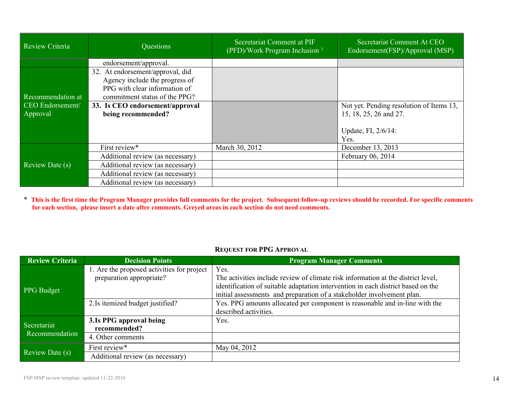| Review Criteria   | Questions                                                                                                                            | Secretariat Comment at PIF<br>(PFD)/Work Program Inclusion <sup>1</sup> | Secretariat Comment At CEO<br>Endorsement(FSP)/Approval (MSP) |
|-------------------|--------------------------------------------------------------------------------------------------------------------------------------|-------------------------------------------------------------------------|---------------------------------------------------------------|
|                   | endorsement/approval.                                                                                                                |                                                                         |                                                               |
| Recommendation at | 32. At endorsement/approval, did<br>Agency include the progress of<br>PPG with clear information of<br>commitment status of the PPG? |                                                                         |                                                               |
| CEO Endorsement/  | 33. Is CEO endorsement/approval                                                                                                      |                                                                         | Not yet. Pending resolution of Items 13,                      |
| Approval          | being recommended?                                                                                                                   |                                                                         | 15, 18, 25, 26 and 27.                                        |
|                   |                                                                                                                                      |                                                                         | Update, FI, 2/6/14:<br>Yes.                                   |
|                   | First review*                                                                                                                        | March 30, 2012                                                          | December 13, 2013                                             |
|                   | Additional review (as necessary)                                                                                                     |                                                                         | February 06, 2014                                             |
| Review Date (s)   | Additional review (as necessary)                                                                                                     |                                                                         |                                                               |
|                   | Additional review (as necessary)                                                                                                     |                                                                         |                                                               |
|                   | Additional review (as necessary)                                                                                                     |                                                                         |                                                               |

\* This is the first time the Program Manager provides full comments for the project. Subsequent follow-up reviews should be recorded. For specific comments for each section, please insert a date after comments. Greyed areas in each section do not need comments.

| <b>Review Criteria</b>        | <b>Decision Points</b>                                                                                     | <b>Program Manager Comments</b>                                                                                                                                                                                                                                                                                                       |
|-------------------------------|------------------------------------------------------------------------------------------------------------|---------------------------------------------------------------------------------------------------------------------------------------------------------------------------------------------------------------------------------------------------------------------------------------------------------------------------------------|
| <b>PPG</b> Budget             | 1. Are the proposed activities for project<br>preparation appropriate?<br>2. Is itemized budget justified? | Yes.<br>The activities include review of climate risk information at the district level,<br>identification of suitable adaptation intervention in each district based on the<br>initial assessments and preparation of a stakeholder involvement plan.<br>Yes. PPG amounts allocated per component is reasonable and in-line with the |
| Secretariat<br>Recommendation | 3. Is PPG approval being<br>recommended?                                                                   | described activities.<br>Yes.                                                                                                                                                                                                                                                                                                         |
|                               | 4. Other comments                                                                                          |                                                                                                                                                                                                                                                                                                                                       |
| Review Date (s)               | First review*<br>Additional review (as necessary)                                                          | May 04, 2012                                                                                                                                                                                                                                                                                                                          |
|                               |                                                                                                            |                                                                                                                                                                                                                                                                                                                                       |

## **REQUEST FOR PPG APPROVAL**